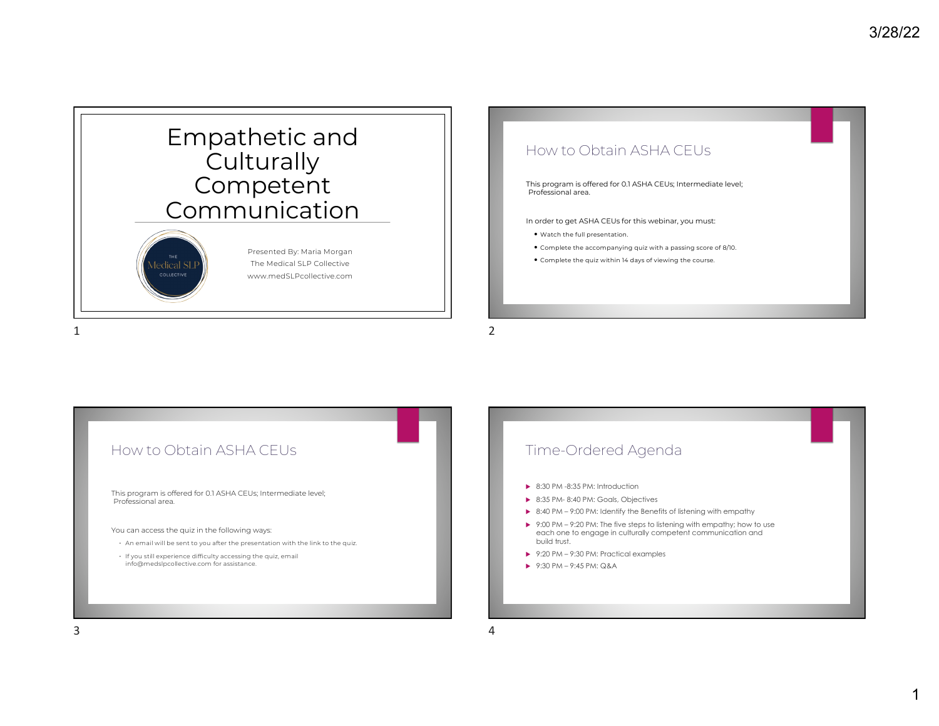

### How to Obtain ASHA CEUs

This program is offered for 0.1 ASHA CEUs; Intermediate level; Professional area.

In order to get ASHA CEUs for this webinar, you must:

- Watch the full presentation.
- Complete the accompanying quiz with a passing score of 8/10.
- Complete the quiz within 14 days of viewing the course.

1

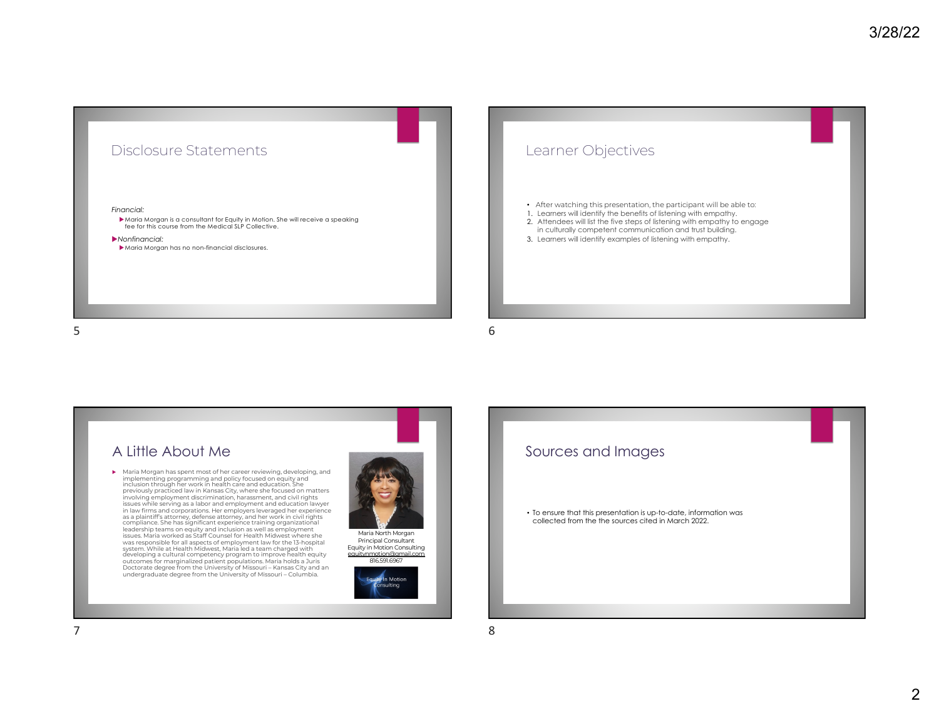## Disclosure Statements

#### *Financial:*

 $\blacktriangleright$  Maria Morgan is a consultant for Equity in Motion. She will receive a speaking fee for this course from the Medical SLP Collective.

#### u*Nonfinancial:*

 $\blacktriangleright$  Maria Morgan has no non-financial disclosures.

# Learner Objectives

- After watching this presentation, the participant will be able to:
- 1. Learners will identify the benefits of listening with empathy.
- 2. Attendees will list the five steps of listening with empathy to engage in culturally competent communication and trust building.
- 3. Learners will identify examples of listening with empathy.

6

### A Little About Me

u Maria Morgan has spent most of her career reviewing, developing, and implementing programming and policy focused on equity and inclusion through her work in health care and education. She previously practiced law in Kansas City, where she focused on matters involving employment discrimination, harassment, and civil rights<br>issues while serving as a labor and employment and education lawyer<br>in law firms and corporations. Her employers leveraged her experience<br>as a plaintiffs at leadership teams on equity and inclusion as well as employment issues. Maria worked as Staff Counsel for Health Midwest where she<br>was responsible for all aspects of employment law for the 13-hospital<br>system. While at Health Midwest, Maria led a team charged with<br>developing a cultural Doctorate degree from the University of Missouri – Kansas City and an undergraduate degree from the University of Missouri – Columbia.



Equity in Motion Consulting equitynmotion@gmail.com 816.591.6967



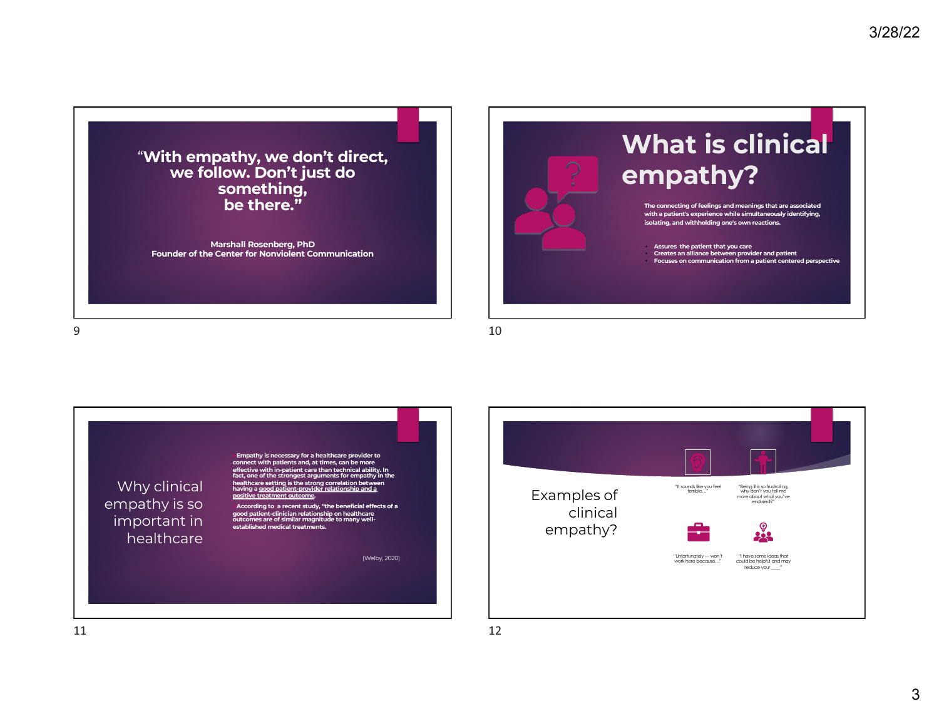"**With empathy, we don't direct, we follow. Don't just do something, be there."** 

**Marshall Rosenberg, PhD Founder of the Center for Nonviolent Communication**



9





10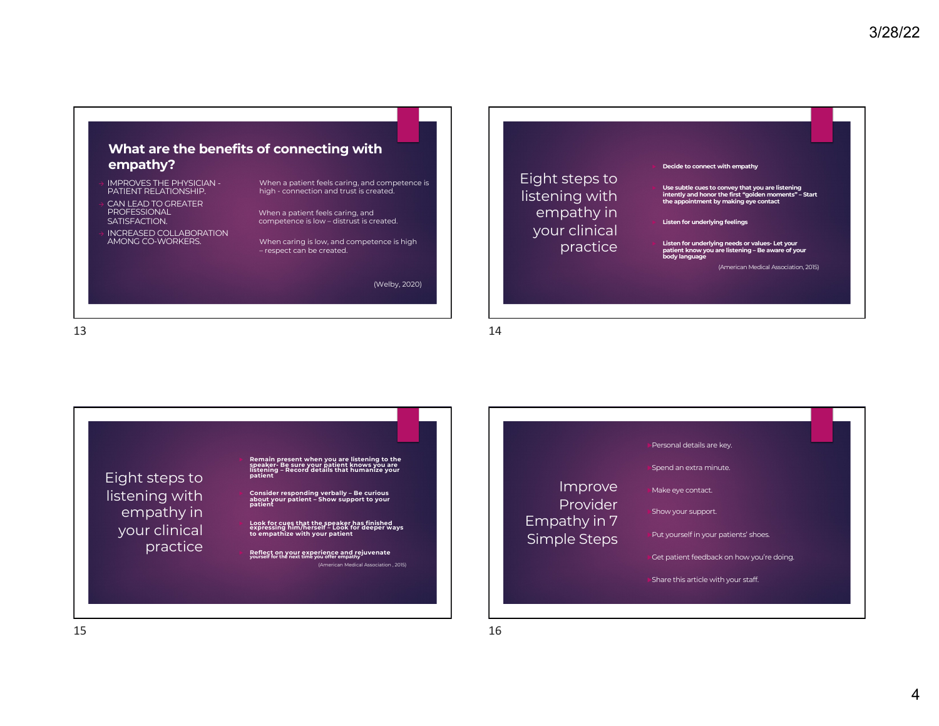

- <sup>à</sup> IMPROVES THE PHYSICIAN PATIENT RELATIONSHIP.
- CAN LEAD TO GREATER PROFESSIONAL SATISFACTION.
- INCREASED COLLABORATION AMONG CO-WORKERS.

When a patient feels caring, and competence is high - connection and trust is created.

When a patient feels caring, and competence is low – distrust is created.

When caring is low, and competence is high – respect can be created.

(Welby, 2020)

13



14

Eight steps to listening with empathy in your clinical practice **Decide to connect with empathy** 

**Listen for underlying feelings** 

u **Use subtle cues to convey that you are listening intently and honor the first "golden moments" – Start the appointment by making eye contact** 

u **Listen for underlying needs or values- Let your patient know you are listening – Be aware of your body language**

(American Medical Association, 2015)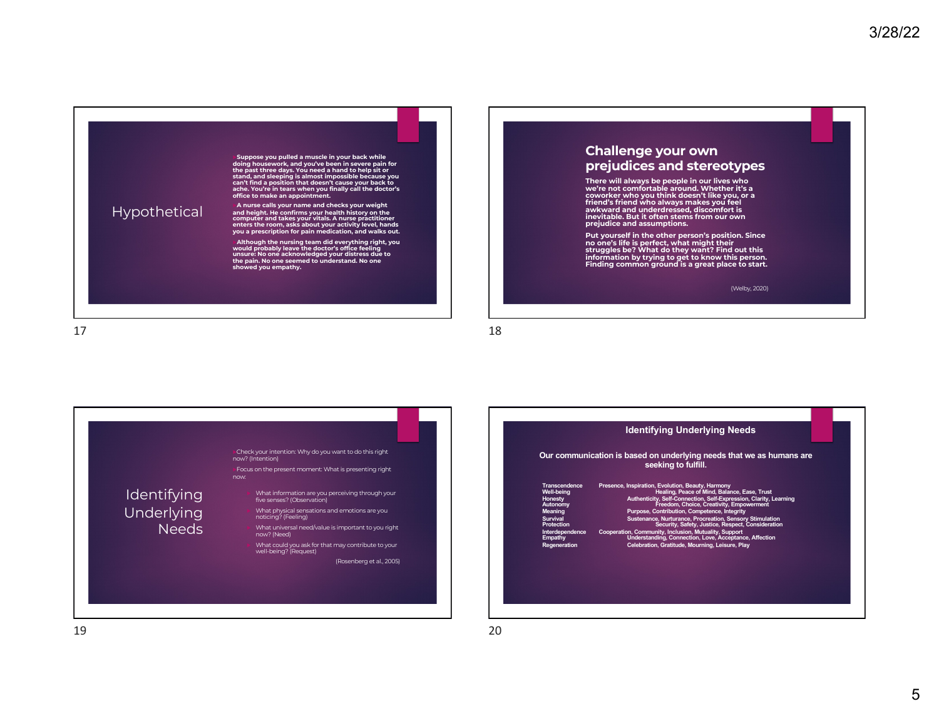

u**Although the nursing team did everything right, you would probably leave the doctor's office feeling unsure: No one acknowledged your distress due to the pain. No one seemed to understand. No one showed you empathy.**

### **Challenge your own prejudices and stereotypes**

There will always be people in our lives who<br>we're not comfortable around. Whether it's a<br>coworker who you think doesn't like you, or a<br>friend's friend who always makes you feel<br>awkward and underdressed, discomfort is **inevitable. But it often stems from our own prejudice and assumptions.**

Put yourself in the other person's position. Since<br>no one's life is perfect, what might their<br>struggles be? What do they want? Find out this<br>information by trying to get to know this person.<br>Finding common ground is a grea

(Welby, 2020)

17





20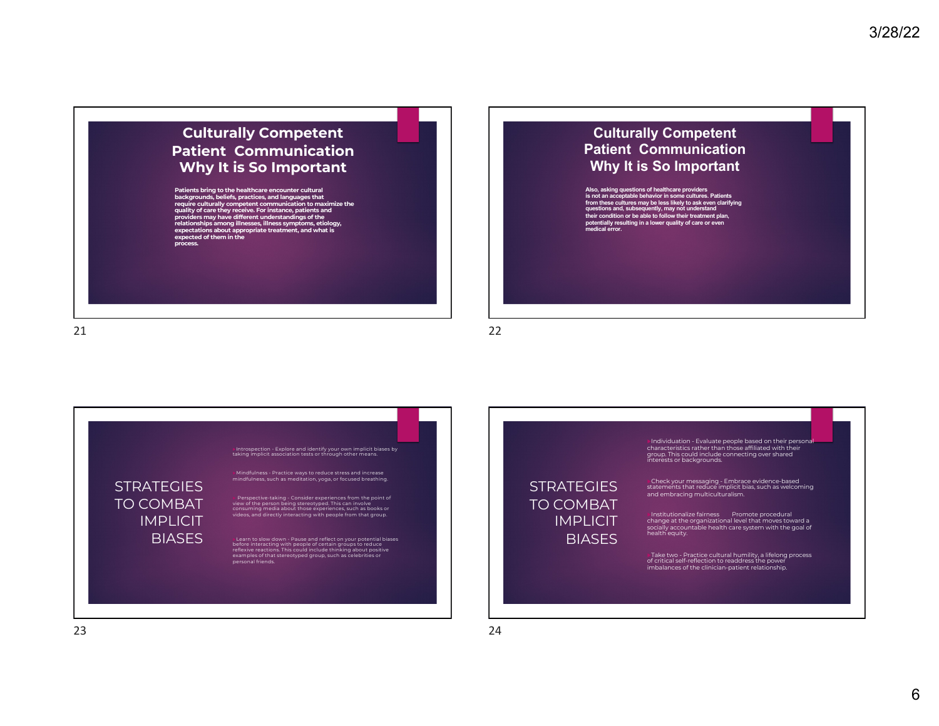### **Culturally Competent Patient Communication Why It is So Important**

Patients bring to the healthcare encounter cultural<br>backgrounds, beliefs, practices, and languages that<br>require culturally competent communication to maximize the<br>quality of care they receive. For instance, patients and **providers may have different understandings of the relationships among illnesses, illness symptoms, etiology, expectations about appropriate treatment, and what is expected of them in the process.**

21



22

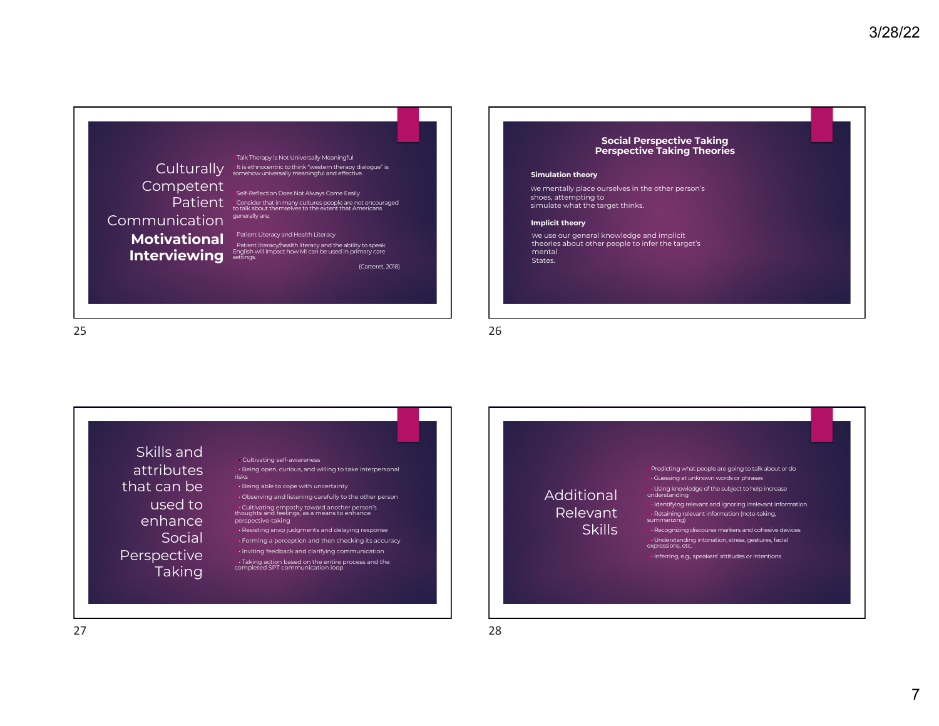

#### **Social Perspective Taking Perspective Taking Theories**

#### **Simulation theory**

We mentally place ourselves in the other person's shoes, attempting to simulate what the target thinks.

#### **Implicit theory**

We use our general knowledge and implicit theories about other people to infer the target's mental States.

25

26

Skills and attributes that can be used to enhance **Social** Perspective Taking

### u• Cultivating self-awareness

 $\cdot\cdot$  Being open, curious, and willing to take interpersonal risks

- $\mathbf{b}$  Being able to cope with uncertainty  $\cdot \cdot$  Observing and listening carefully to the other person
- ►• Cultivating empathy toward another person's<br>thoughts and feelings, as a means to enhance
- perspective-taking  $\cdot$  Resisting snap judgments and delaying response
- $\cdot$  Forming a perception and then checking its accuracy  $\nu$  Inviting feedback and clarifying communication
- $\triangleright$  Taking action based on the entire process and the completed SPT communication loop

Additional Relevant **Skills** 

- Predicting what people are going to talk about or do  $\cdot$  Guessing at unknown words or phrases
- **⊳∙** Using knowledge of the subject to help increase<br>understanding  $\cdot$  Identifying relevant and ignoring irrelevant information
- ▶• Retaining relevant information (note-taking,<br>summarizing)
- $\cdot$  Recognizing discourse markers and cohesive devices • Understanding intonation, stress, gestures, facial<br>expressions, etc.

 $\nu$  Inferring, e.g., speakers' attitudes or intentions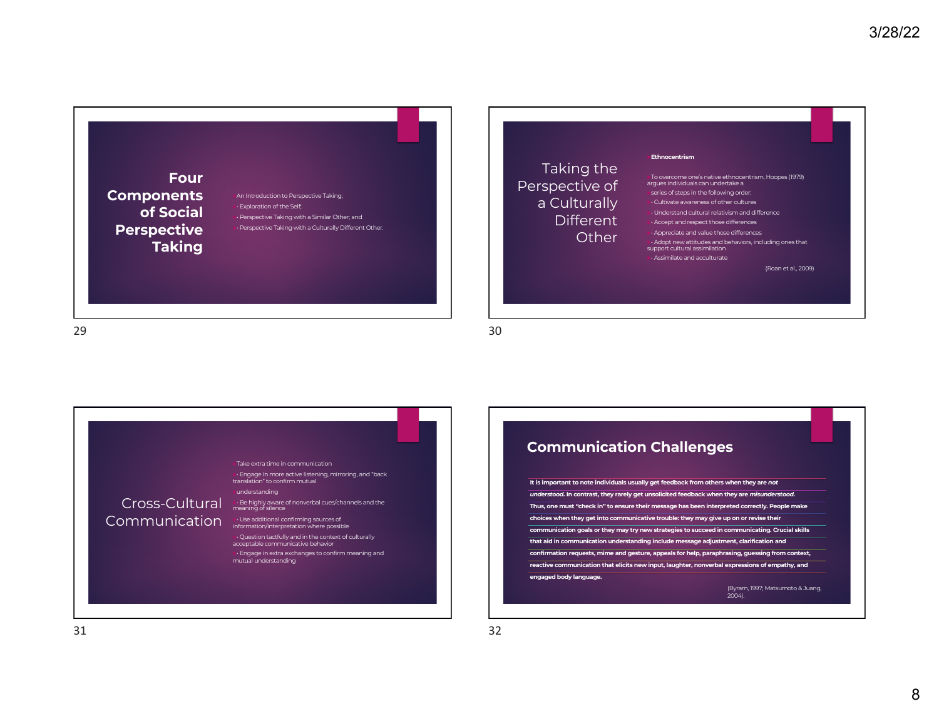

### Taking the Perspective of a Culturally Different **Other**

#### u**Ethnocentrism**

uTo overcome one's native ethnocentrism, Hoopes (1979) argues individuals can undertake a

series of steps in the following order:

u• Cultivate awareness of other cultures

u• Understand cultural relativism and difference  $\cdot$  Accept and respect those differences

 $\cdot$  Appreciate and value those differences **►•** Adopt new attitudes and behaviors, including ones that support cultural assimilation  $\cdot\cdot$  Assimilate and acculturate

(Roan et al., 2009)

29



### **Communication Challenges**

**It is important to note individuals usually get feedback from others when they are** *not understood***. In contrast, they rarely get unsolicited feedback when they are** *misunderstood***. Thus, one must "check in" to ensure their message has been interpreted correctly. People make choices when they get into communicative trouble: they may give up on or revise their communication goals or they may try new strategies to succeed in communicating. Crucial skills that aid in communication understanding include message adjustment, clarification and confirmation requests, mime and gesture, appeals for help, paraphrasing, guessing from context, reactive communication that elicits new input, laughter, nonverbal expressions of empathy, and engaged body language.**

(Byram, 1997; Matsumoto & Juang, 2004).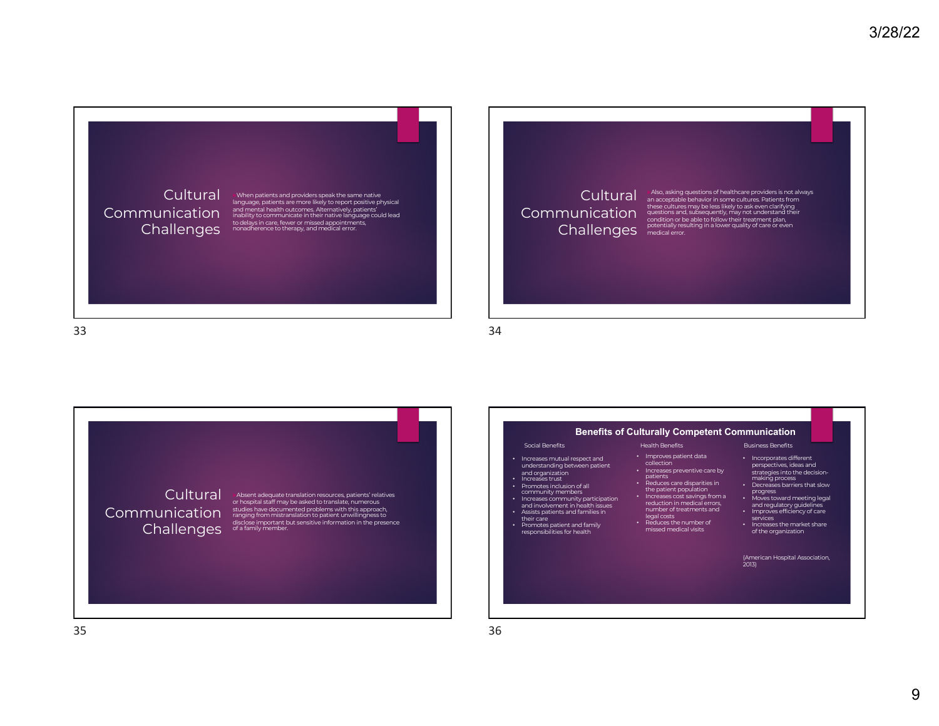### **Cultural** Communication **Challenges**

 $\bullet$  When patients and providers speak the same native language, patients are more likely to report positive physical and mental health outcomes. Alternatively, patients' inability to communicate in their native language could lead to delays in care, fewer or missed appointments, nonadherence to therapy, and medical error.

# Communication Challenges

Cultural Miso, asking questions of healthcare providers is not always<br>Cultural an acceptable behavior in some cultures. Patients from these cultures may be less likely to ask even clarifying<br>questions and, subsequently, may not understand their<br>condition or be able to follow their treatment plan,<br>potentially resulting in a lower quality of care or even<br>m

34





36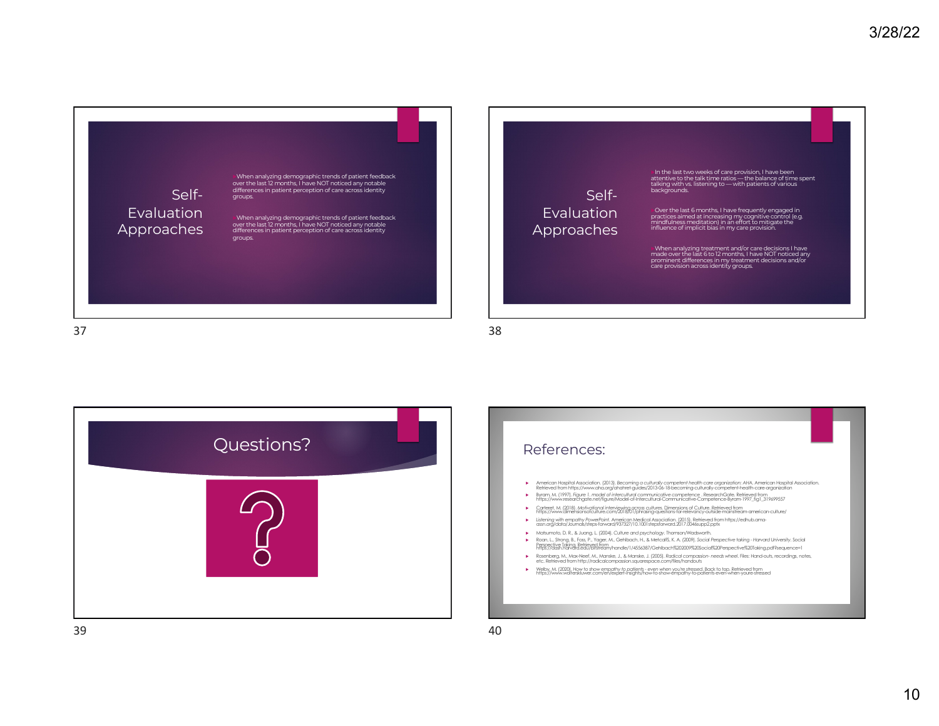